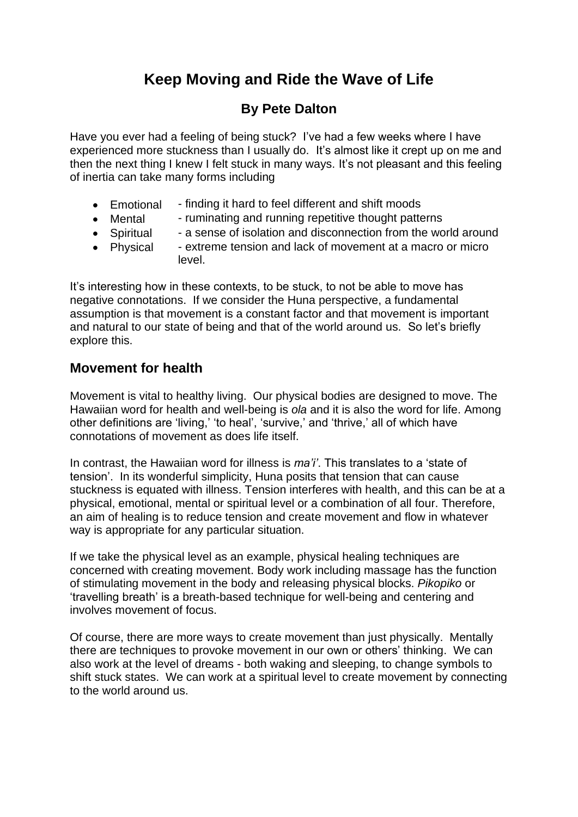# **Keep Moving and Ride the Wave of Life**

## **By Pete Dalton**

Have you ever had a feeling of being stuck? I've had a few weeks where I have experienced more stuckness than I usually do. It's almost like it crept up on me and then the next thing I knew I felt stuck in many ways. It's not pleasant and this feeling of inertia can take many forms including

- Emotional finding it hard to feel different and shift moods
- Mental ruminating and running repetitive thought patterns
- Spiritual a sense of isolation and disconnection from the world around
- Physical extreme tension and lack of movement at a macro or micro level.

It's interesting how in these contexts, to be stuck, to not be able to move has negative connotations. If we consider the Huna perspective, a fundamental assumption is that movement is a constant factor and that movement is important and natural to our state of being and that of the world around us. So let's briefly explore this.

### **Movement for health**

Movement is vital to healthy living. Our physical bodies are designed to move. The Hawaiian word for health and well-being is *ola* and it is also the word for life. Among other definitions are 'living,' 'to heal', 'survive,' and 'thrive,' all of which have connotations of movement as does life itself.

In contrast, the Hawaiian word for illness is *ma'i'*. This translates to a 'state of tension'. In its wonderful simplicity, Huna posits that tension that can cause stuckness is equated with illness. Tension interferes with health, and this can be at a physical, emotional, mental or spiritual level or a combination of all four. Therefore, an aim of healing is to reduce tension and create movement and flow in whatever way is appropriate for any particular situation.

If we take the physical level as an example, physical healing techniques are concerned with creating movement. Body work including massage has the function of stimulating movement in the body and releasing physical blocks. *Pikopiko* or 'travelling breath' is a breath-based technique for well-being and centering and involves movement of focus.

Of course, there are more ways to create movement than just physically. Mentally there are techniques to provoke movement in our own or others' thinking. We can also work at the level of dreams - both waking and sleeping, to change symbols to shift stuck states. We can work at a spiritual level to create movement by connecting to the world around us.